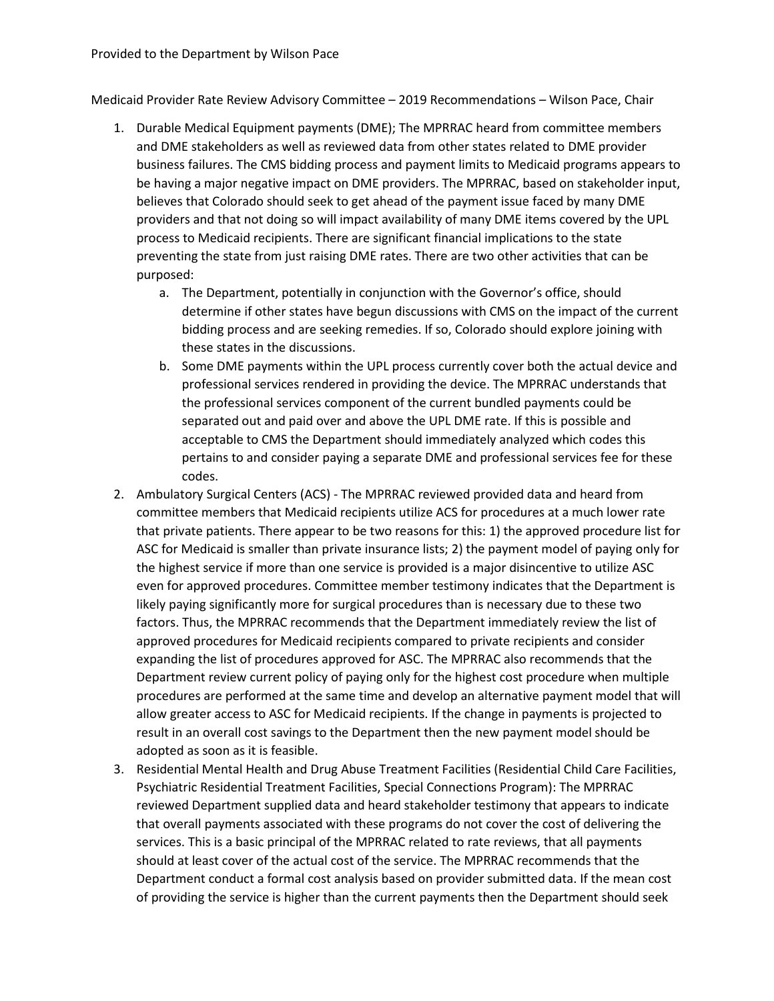Medicaid Provider Rate Review Advisory Committee – 2019 Recommendations – Wilson Pace, Chair

- 1. Durable Medical Equipment payments (DME); The MPRRAC heard from committee members and DME stakeholders as well as reviewed data from other states related to DME provider business failures. The CMS bidding process and payment limits to Medicaid programs appears to be having a major negative impact on DME providers. The MPRRAC, based on stakeholder input, believes that Colorado should seek to get ahead of the payment issue faced by many DME providers and that not doing so will impact availability of many DME items covered by the UPL process to Medicaid recipients. There are significant financial implications to the state preventing the state from just raising DME rates. There are two other activities that can be purposed:
	- a. The Department, potentially in conjunction with the Governor's office, should determine if other states have begun discussions with CMS on the impact of the current bidding process and are seeking remedies. If so, Colorado should explore joining with these states in the discussions.
	- b. Some DME payments within the UPL process currently cover both the actual device and professional services rendered in providing the device. The MPRRAC understands that the professional services component of the current bundled payments could be separated out and paid over and above the UPL DME rate. If this is possible and acceptable to CMS the Department should immediately analyzed which codes this pertains to and consider paying a separate DME and professional services fee for these codes.
- 2. Ambulatory Surgical Centers (ACS) The MPRRAC reviewed provided data and heard from committee members that Medicaid recipients utilize ACS for procedures at a much lower rate that private patients. There appear to be two reasons for this: 1) the approved procedure list for ASC for Medicaid is smaller than private insurance lists; 2) the payment model of paying only for the highest service if more than one service is provided is a major disincentive to utilize ASC even for approved procedures. Committee member testimony indicates that the Department is likely paying significantly more for surgical procedures than is necessary due to these two factors. Thus, the MPRRAC recommends that the Department immediately review the list of approved procedures for Medicaid recipients compared to private recipients and consider expanding the list of procedures approved for ASC. The MPRRAC also recommends that the Department review current policy of paying only for the highest cost procedure when multiple procedures are performed at the same time and develop an alternative payment model that will allow greater access to ASC for Medicaid recipients. If the change in payments is projected to result in an overall cost savings to the Department then the new payment model should be adopted as soon as it is feasible.
- 3. Residential Mental Health and Drug Abuse Treatment Facilities (Residential Child Care Facilities, Psychiatric Residential Treatment Facilities, Special Connections Program): The MPRRAC reviewed Department supplied data and heard stakeholder testimony that appears to indicate that overall payments associated with these programs do not cover the cost of delivering the services. This is a basic principal of the MPRRAC related to rate reviews, that all payments should at least cover of the actual cost of the service. The MPRRAC recommends that the Department conduct a formal cost analysis based on provider submitted data. If the mean cost of providing the service is higher than the current payments then the Department should seek